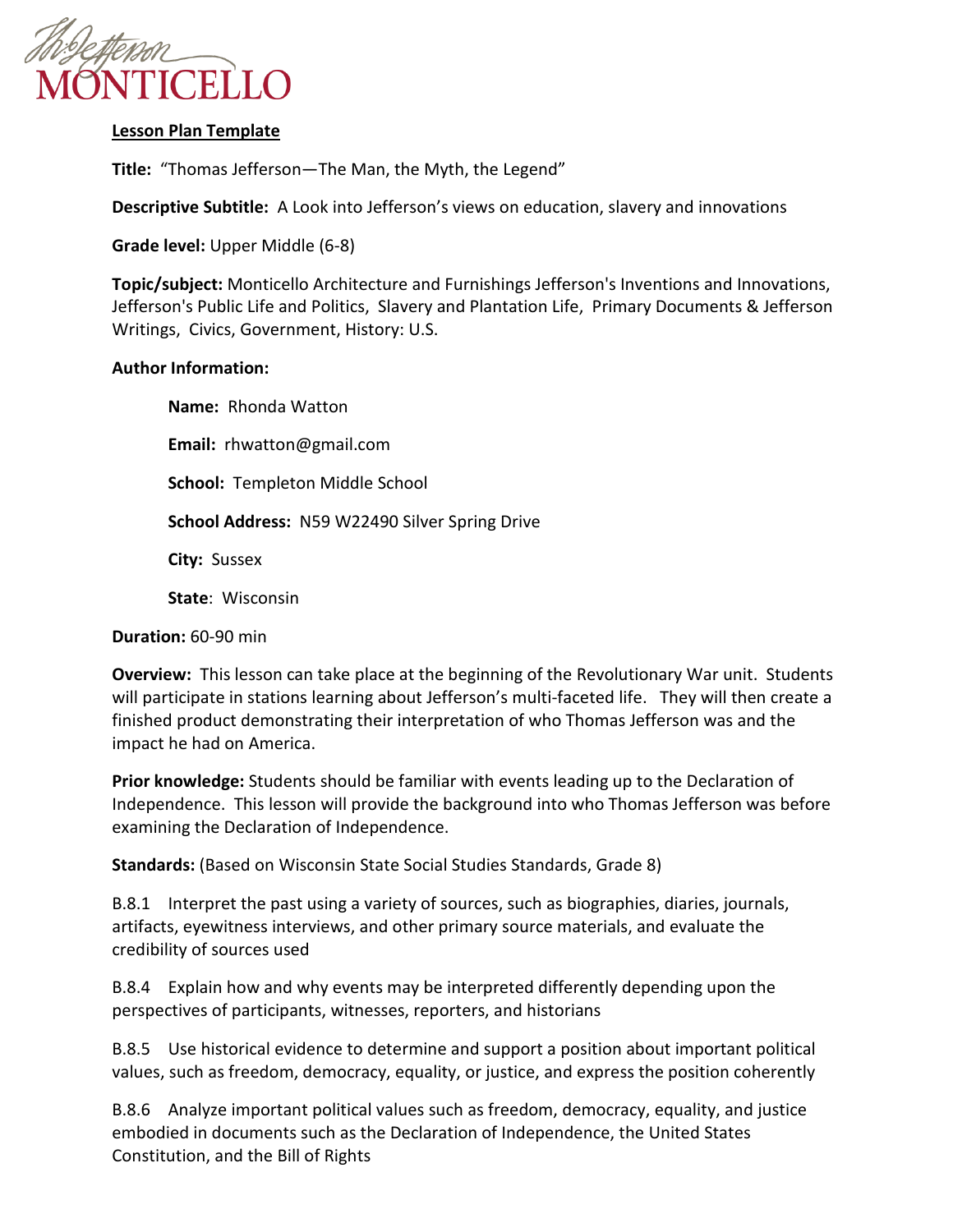

# **Lesson Plan Template**

**Title:** "Thomas Jefferson—The Man, the Myth, the Legend"

**Descriptive Subtitle:** A Look into Jefferson's views on education, slavery and innovations

**Grade level:** Upper Middle (6-8)

**Topic/subject:** Monticello Architecture and Furnishings Jefferson's Inventions and Innovations, Jefferson's Public Life and Politics, Slavery and Plantation Life, Primary Documents & Jefferson Writings, Civics, Government, History: U.S.

# **Author Information:**

**Name:** Rhonda Watton **Email:** rhwatton@gmail.com **School:** Templeton Middle School **School Address:** N59 W22490 Silver Spring Drive **City:** Sussex **State**: Wisconsin

**Duration:** 60-90 min

**Overview:** This lesson can take place at the beginning of the Revolutionary War unit. Students will participate in stations learning about Jefferson's multi-faceted life. They will then create a finished product demonstrating their interpretation of who Thomas Jefferson was and the impact he had on America.

**Prior knowledge:** Students should be familiar with events leading up to the Declaration of Independence. This lesson will provide the background into who Thomas Jefferson was before examining the Declaration of Independence.

**Standards:** (Based on Wisconsin State Social Studies Standards, Grade 8)

B.8.1 Interpret the past using a variety of sources, such as biographies, diaries, journals, artifacts, eyewitness interviews, and other primary source materials, and evaluate the credibility of sources used

B.8.4 Explain how and why events may be interpreted differently depending upon the perspectives of participants, witnesses, reporters, and historians

B.8.5 Use historical evidence to determine and support a position about important political values, such as freedom, democracy, equality, or justice, and express the position coherently

B.8.6 Analyze important political values such as freedom, democracy, equality, and justice embodied in documents such as the Declaration of Independence, the United States Constitution, and the Bill of Rights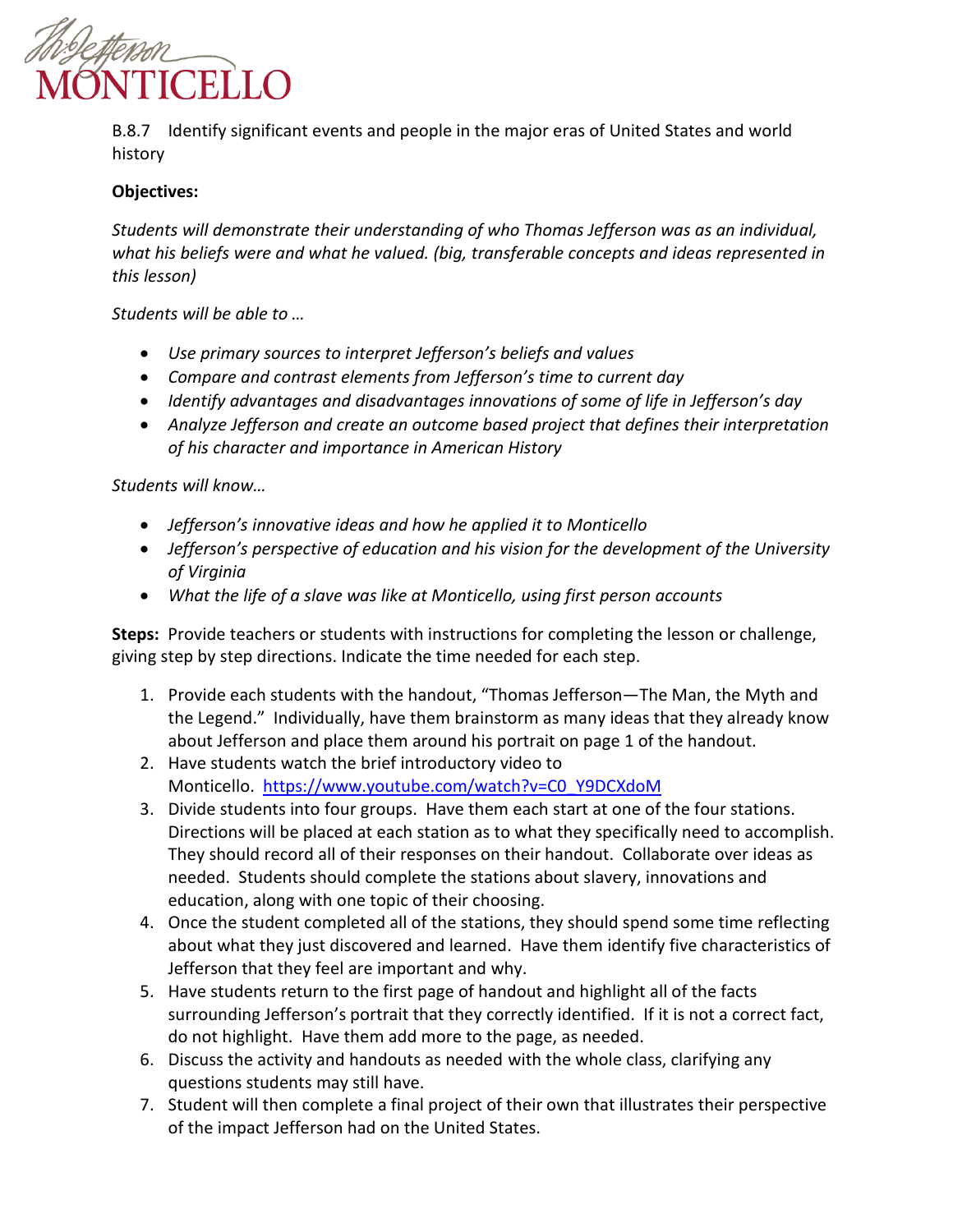

B.8.7 Identify significant events and people in the major eras of United States and world history

# **Objectives:**

*Students will demonstrate their understanding of who Thomas Jefferson was as an individual, what his beliefs were and what he valued. (big, transferable concepts and ideas represented in this lesson)*

*Students will be able to …* 

- *Use primary sources to interpret Jefferson's beliefs and values*
- *Compare and contrast elements from Jefferson's time to current day*
- *Identify advantages and disadvantages innovations of some of life in Jefferson's day*
- *Analyze Jefferson and create an outcome based project that defines their interpretation of his character and importance in American History*

*Students will know…* 

- *Jefferson's innovative ideas and how he applied it to Monticello*
- *Jefferson's perspective of education and his vision for the development of the University of Virginia*
- *What the life of a slave was like at Monticello, using first person accounts*

**Steps:** Provide teachers or students with instructions for completing the lesson or challenge, giving step by step directions. Indicate the time needed for each step.

- 1. Provide each students with the handout, "Thomas Jefferson—The Man, the Myth and the Legend." Individually, have them brainstorm as many ideas that they already know about Jefferson and place them around his portrait on page 1 of the handout.
- 2. Have students watch the brief introductory video to Monticello. [https://www.youtube.com/watch?v=C0\\_Y9DCXdoM](https://www.youtube.com/watch?v=C0_Y9DCXdoM)
- 3. Divide students into four groups. Have them each start at one of the four stations. Directions will be placed at each station as to what they specifically need to accomplish. They should record all of their responses on their handout. Collaborate over ideas as needed. Students should complete the stations about slavery, innovations and education, along with one topic of their choosing.
- 4. Once the student completed all of the stations, they should spend some time reflecting about what they just discovered and learned. Have them identify five characteristics of Jefferson that they feel are important and why.
- 5. Have students return to the first page of handout and highlight all of the facts surrounding Jefferson's portrait that they correctly identified. If it is not a correct fact, do not highlight. Have them add more to the page, as needed.
- 6. Discuss the activity and handouts as needed with the whole class, clarifying any questions students may still have.
- 7. Student will then complete a final project of their own that illustrates their perspective of the impact Jefferson had on the United States.